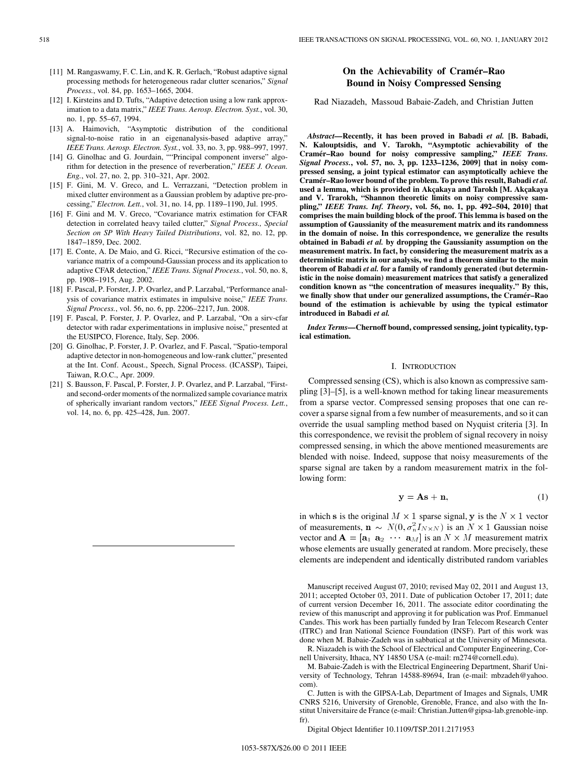- [11] M. Rangaswamy, F. C. Lin, and K. R. Gerlach, "Robust adaptive signal processing methods for heterogeneous radar clutter scenarios," *Signal Process.*, vol. 84, pp. 1653–1665, 2004.
- [12] I. Kirsteins and D. Tufts, "Adaptive detection using a low rank approximation to a data matrix," *IEEE Trans. Aerosp. Electron. Syst.*, vol. 30, no. 1, pp. 55–67, 1994.
- [13] A. Haimovich, "Asymptotic distribution of the conditional signal-to-noise ratio in an eigenanalysis-based adaptive array," *IEEE Trans. Aerosp. Electron. Syst.*, vol. 33, no. 3, pp. 988–997, 1997.
- [14] G. Ginolhac and G. Jourdain, ""Principal component inverse" algorithm for detection in the presence of reverberation," *IEEE J. Ocean. Eng.*, vol. 27, no. 2, pp. 310–321, Apr. 2002.
- [15] F. Gini, M. V. Greco, and L. Verrazzani, "Detection problem in mixed clutter environment as a Gaussian problem by adaptive pre-processing," *Electron. Lett.*, vol. 31, no. 14, pp. 1189–1190, Jul. 1995.
- [16] F. Gini and M. V. Greco, "Covariance matrix estimation for CFAR detection in correlated heavy tailed clutter," *Signal Process., Special Section on SP With Heavy Tailed Distributions*, vol. 82, no. 12, pp. 1847–1859, Dec. 2002.
- [17] E. Conte, A. De Maio, and G. Ricci, "Recursive estimation of the covariance matrix of a compound-Gaussian process and its application to adaptive CFAR detection," *IEEE Trans. Signal Process.*, vol. 50, no. 8, pp. 1908–1915, Aug. 2002.
- [18] F. Pascal, P. Forster, J. P. Ovarlez, and P. Larzabal, "Performance analysis of covariance matrix estimates in impulsive noise," *IEEE Trans. Signal Process.*, vol. 56, no. 6, pp. 2206–2217, Jun. 2008.
- [19] F. Pascal, P. Forster, J. P. Ovarlez, and P. Larzabal, "On a sirv-cfar detector with radar experimentations in implusive noise," presented at the EUSIPCO, Florence, Italy, Sep. 2006.
- [20] G. Ginolhac, P. Forster, J. P. Ovarlez, and F. Pascal, "Spatio-temporal adaptive detector in non-homogeneous and low-rank clutter," presented at the Int. Conf. Acoust., Speech, Signal Process. (ICASSP), Taipei, Taiwan, R.O.C., Apr. 2009.
- [21] S. Bausson, F. Pascal, P. Forster, J. P. Ovarlez, and P. Larzabal, "Firstand second-order moments of the normalized sample covariance matrix of spherically invariant random vectors," *IEEE Signal Process. Lett.*, vol. 14, no. 6, pp. 425–428, Jun. 2007.

# **On the Achievability of Cramér–Rao Bound in Noisy Compressed Sensing**

Rad Niazadeh, Massoud Babaie-Zadeh, and Christian Jutten

*Abstract—***Recently, it has been proved in Babadi** *et al.* **[B. Babadi, N. Kalouptsidis, and V. Tarokh, "Asymptotic achievability of the Cramér–Rao bound for noisy compressive sampling,"** *IEEE Trans. Signal Process.***, vol. 57, no. 3, pp. 1233–1236, 2009] that in noisy compressed sensing, a joint typical estimator can asymptotically achieve the Cramér–Rao lower bound of the problem. To prove this result, Babadi** *et al.* **used a lemma, which is provided in Akçakaya and Tarokh [M. Akçakaya and V. Trarokh, "Shannon theoretic limits on noisy compressive sampling,"** *IEEE Trans. Inf. Theory***, vol. 56, no. 1, pp. 492–504, 2010] that comprises the main building block of the proof. This lemma is based on the assumption of Gaussianity of the measurement matrix and its randomness in the domain of noise. In this correspondence, we generalize the results obtained in Babadi** *et al.* **by dropping the Gaussianity assumption on the measurement matrix. In fact, by considering the measurement matrix as a deterministic matrix in our analysis, we find a theorem similar to the main theorem of Babadi** *et al.* **for a family of randomly generated (but deterministic in the noise domain) measurement matrices that satisfy a generalized condition known as "the concentration of measures inequality." By this, we finally show that under our generalized assumptions, the Cramér–Rao bound of the estimation is achievable by using the typical estimator introduced in Babadi** *et al.*

*Index Terms—***Chernoff bound, compressed sensing, joint typicality, typical estimation.**

## I. INTRODUCTION

Compressed sensing (CS), which is also known as compressive sampling [3]–[5], is a well-known method for taking linear measurements from a sparse vector. Compressed sensing proposes that one can recover a sparse signal from a few number of measurements, and so it can override the usual sampling method based on Nyquist criteria [3]. In this correspondence, we revisit the problem of signal recovery in noisy compressed sensing, in which the above mentioned measurements are blended with noise. Indeed, suppose that noisy measurements of the sparse signal are taken by a random measurement matrix in the following form:

$$
y = As + n,\tag{1}
$$

in which s is the original  $M \times 1$  sparse signal, y is the  $N \times 1$  vector of measurements,  $\mathbf{n} \sim N(0, \sigma_n^2 I_{N \times N})$  is an  $N \times 1$  Gaussian noise vector and  $\mathbf{A} = [\mathbf{a}_1 \ \mathbf{a}_2 \ \cdots \ \mathbf{a}_M]$  is an  $N \times M$  measurement matrix whose elements are usually generated at random. More precisely, these elements are independent and identically distributed random variables

Manuscript received August 07, 2010; revised May 02, 2011 and August 13, 2011; accepted October 03, 2011. Date of publication October 17, 2011; date of current version December 16, 2011. The associate editor coordinating the review of this manuscript and approving it for publication was Prof. Emmanuel Candes. This work has been partially funded by Iran Telecom Research Center (ITRC) and Iran National Science Foundation (INSF). Part of this work was done when M. Babaie-Zadeh was in sabbatical at the University of Minnesota.

R. Niazadeh is with the School of Electrical and Computer Engineering, Cornell University, Ithaca, NY 14850 USA (e-mail: rn274@cornell.edu).

M. Babaie-Zadeh is with the Electrical Engineering Department, Sharif University of Technology, Tehran 14588-89694, Iran (e-mail: mbzadeh@yahoo. com).

C. Jutten is with the GIPSA-Lab, Department of Images and Signals, UMR CNRS 5216, University of Grenoble, Grenoble, France, and also with the Institut Universitaire de France (e-mail: Christian.Jutten@gipsa-lab.grenoble-inp. fr).

Digital Object Identifier 10.1109/TSP.2011.2171953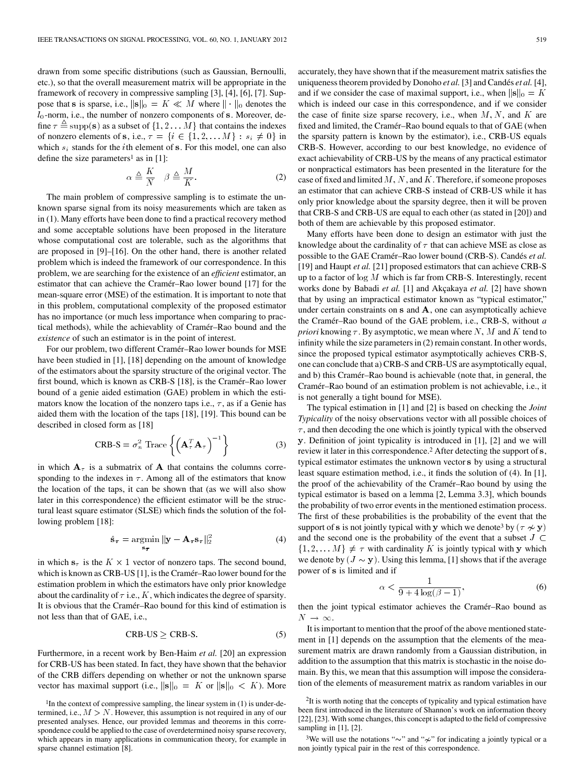drawn from some specific distributions (such as Gaussian, Bernoulli, etc.), so that the overall measurement matrix will be appropriate in the framework of recovery in compressive sampling [3], [4], [6], [7]. Suppose that s is sparse, i.e.,  $\|\mathbf{s}\|_0 = K \ll M$  where  $\|\cdot\|_0$  denotes the  $l_0$ -norm, i.e., the number of nonzero components of s. Moreover, define  $\tau \triangleq \text{supp}(\mathbf{s})$  as a subset of  $\{1, 2 \dots M\}$  that contains the indexes of nonzero elements of s, i.e.,  $\tau = \{i \in \{1, 2, \dots M\} : s_i \neq 0\}$  in which  $s_i$  stands for the *i*th element of s. For this model, one can also define the size parameters<sup>1</sup> as in  $[1]$ :

$$
\alpha \triangleq \frac{K}{N} \quad \beta \triangleq \frac{M}{K}.\tag{2}
$$

The main problem of compressive sampling is to estimate the unknown sparse signal from its noisy measurements which are taken as in (1). Many efforts have been done to find a practical recovery method and some acceptable solutions have been proposed in the literature whose computational cost are tolerable, such as the algorithms that are proposed in [9]–[16]. On the other hand, there is another related problem which is indeed the framework of our correspondence. In this problem, we are searching for the existence of an *efficient* estimator, an estimator that can achieve the Cramér–Rao lower bound [17] for the mean-square error (MSE) of the estimation. It is important to note that in this problem, computational complexity of the proposed estimator has no importance (or much less importance when comparing to practical methods), while the achievablity of Cramér–Rao bound and the *existence* of such an estimator is in the point of interest.

For our problem, two different Cramér–Rao lower bounds for MSE have been studied in [1], [18] depending on the amount of knowledge of the estimators about the sparsity structure of the original vector. The first bound, which is known as CRB-S [18], is the Cramér–Rao lower bound of a genie aided estimation (GAE) problem in which the estimators know the location of the nonzero taps i.e.,  $\tau$ , as if a Genie has aided them with the location of the taps [18], [19]. This bound can be described in closed form as [18] described in closed form as [18]

$$
CRB-S = \sigma_n^2 \text{ Trace} \left\{ \left( \mathbf{A}_{\tau}^T \mathbf{A}_{\tau} \right)^{-1} \right\}
$$
 (3)

in which  $A_{\tau}$  is a submatrix of A that contains the columns corresponding to the indexes in  $\tau$ . Among all of the estimators that know the location of the taps, it can be shown that (as we will also show later in this correspondence) the efficient estimator will be the structural least square estimator (SLSE) which finds the solution of the following problem [18]:

$$
\hat{\mathbf{s}}_{\boldsymbol{\tau}} = \underset{\mathbf{s}_{\boldsymbol{\tau}}}{\operatorname{argmin}} \|\mathbf{y} - \mathbf{A}_{\boldsymbol{\tau}} \mathbf{s}_{\boldsymbol{\tau}}\|_2^2 \tag{4}
$$

in which  $s_{\tau}$  is the  $K \times 1$  vector of nonzero taps. The second bound, which is known as CRB-US [1], is the Cramér–Rao lower bound for the estimation problem in which the estimators have only prior knowledge about the cardinality of  $\tau$  i.e., K, which indicates the degree of sparsity. It is obvious that the Cramér–Rao bound for this kind of estimation is not less than that of GAE, i.e.,

$$
CRB-US \geq CRB-S
$$
 (5)

Furthermore, in a recent work by Ben-Haim *et al.* [20] an expression for CRB-US has been stated. In fact, they have shown that the behavior of the CRB differs depending on whether or not the unknown sparse vector has maximal support (i.e.,  $\|\mathbf{s}\|_0 = K$  or  $\|\mathbf{s}\|_0 < K$ ). More accurately, they have shown that if the measurement matrix satisfies the uniqueness theorem provided by Donoho *et al.* [3] and Candés *et al.* [4], and if we consider the case of maximal support, i.e., when  $\|\mathbf{s}\|_0 = K$ which is indeed our case in this correspondence, and if we consider the case of finite size sparse recovery, i.e., when  $M, N$ , and  $K$  are fixed and limited, the Cramér–Rao bound equals to that of GAE (when the sparsity pattern is known by the estimator), i.e., CRB-US equals CRB-S. However, according to our best knowledge, no evidence of exact achievability of CRB-US by the means of any practical estimator or nonpractical estimators has been presented in the literature for the case of fixed and limited  $M, N$ , and  $K$ . Therefore, if someone proposes an estimator that can achieve CRB-S instead of CRB-US while it has only prior knowledge about the sparsity degree, then it will be proven that CRB-S and CRB-US are equal to each other (as stated in [20]) and both of them are achievable by this proposed estimator.

Many efforts have been done to design an estimator with just the knowledge about the cardinality of  $\tau$  that can achieve MSE as close as possible to the GAE Cramér–Rao lower bound (CRB-S). Candés *et al.* [19] and Haupt *et al.* [21] proposed estimators that can achieve CRB-S up to a factor of  $log M$  which is far from CRB-S. Interestingly, recent works done by Babadi *et al.* [1] and Akçakaya *et al.* [2] have shown that by using an impractical estimator known as "typical estimator," under certain constraints on  $s$  and  $A$ , one can asymptotically achieve the Cramér–Rao bound of the GAE problem, i.e., CRB-S, without *a priori* knowing  $\tau$ . By asymptotic, we mean where  $N$ ,  $M$  and  $K$  tend to infinity while the size parameters in (2) remain constant. In other words, since the proposed typical estimator asymptotically achieves CRB-S, one can conclude that a) CRB-S and CRB-US are asymptotically equal, and b) this Cramér–Rao bound is achievable (note that, in general, the Cramér–Rao bound of an estimation problem is not achievable, i.e., it is not generally a tight bound for MSE).

The typical estimation in [1] and [2] is based on checking the *Joint Typicality* of the noisy observations vector with all possible choices of  $\tau$ , and then decoding the one which is jointly typical with the observed . Definition of joint typicality is introduced in [1], [2] and we will review it later in this correspondence.<sup>2</sup> After detecting the support of s, typical estimator estimates the unknown vector s by using a structural least square estimation method, i.e., it finds the solution of (4). In [1], the proof of the achievability of the Cramér–Rao bound by using the typical estimator is based on a lemma [2, Lemma 3.3], which bounds the probability of two error events in the mentioned estimation process. The first of these probabilities is the probability of the event that the support of s is not jointly typical with y which we denote<sup>3</sup> by  $(\tau \nsim y)$ and the second one is the probability of the event that a subset  $J \subset$  $\{1, 2, \dots M\} \neq \tau$  with cardinality K is jointly typical with y which we denote by  $(J \sim y)$ . Using this lemma, [1] shows that if the average power of s is limited and if

$$
\alpha < \frac{1}{9 + 4\log(\beta - 1)},\tag{6}
$$

then the joint typical estimator achieves the Cramér–Rao bound as  $N \rightarrow \infty$ .

It is important to mention that the proof of the above mentioned statement in [1] depends on the assumption that the elements of the measurement matrix are drawn randomly from a Gaussian distribution, in addition to the assumption that this matrix is stochastic in the noise domain. By this, we mean that this assumption will impose the consideration of the elements of measurement matrix as random variables in our

<sup>3</sup>We will use the notations " $\sim$ " and " $\gamma$ " for indicating a jointly typical or a non jointly typical pair in the rest of this correspondence.

<sup>&</sup>lt;sup>1</sup>In the context of compressive sampling, the linear system in (1) is under-determined, i.e.,  $M > N$ . However, this assumption is not required in any of our presented analyses. Hence, our provided lemmas and theorems in this correspondence could be applied to the case of overdetermined noisy sparse recovery, which appears in many applications in communication theory, for example in sparse channel estimation [8].

<sup>&</sup>lt;sup>2</sup>It is worth noting that the concepts of typicality and typical estimation have been first introduced in the literature of Shannon's work on information theory [22], [23]. With some changes, this concept is adapted to the field of compressive sampling in [1], [2].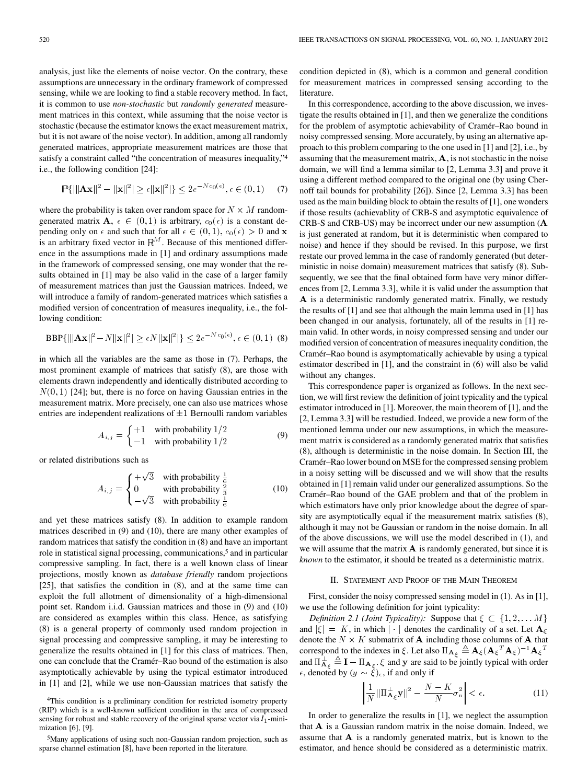analysis, just like the elements of noise vector. On the contrary, these assumptions are unnecessary in the ordinary framework of compressed sensing, while we are looking to find a stable recovery method. In fact, it is common to use *non-stochastic* but *randomly generated* measurement matrices in this context, while assuming that the noise vector is stochastic (because the estimator knows the exact measurement matrix, but it is not aware of the noise vector). In addition, among all randomly generated matrices, appropriate measurement matrices are those that satisfy a constraint called "the concentration of measures inequality,"<br>
i.e., the following condition [24]:<br>  $\mathbb{E}(\|\mathbf{A}\mathbf{x}\|^2 - \|\mathbf{x}\|^2) \ge \epsilon \|\mathbf{x}\|^2 + 2 \cdot 2e^{-N\epsilon_0(\epsilon)} \le C(0, 1)$  (7) i.e., the following condition [24]:

$$
\mathbb{P}\{\|\|\mathbf{Ax}\|^2 - \|\mathbf{x}\|^2\} \ge \epsilon \|\mathbf{x}\|^2\} \le 2e^{-Nc_0(\epsilon)}, \epsilon \in (0,1) \tag{7}
$$

where the probability is taken over random space for  $N \times M$  randomgenerated matrix  $\mathbf{A}$ ,  $\epsilon \in (0,1)$  is arbitrary,  $c_0(\epsilon)$  is a constant depending only on  $\epsilon$  and such that for all  $\epsilon \in (0,1)$ ,  $c_0(\epsilon) > 0$  and **x** is an arbitrary fixed vector in  $\mathbb{R}^M$ . Because of this mentioned difference in the assumptions made in [1] and ordinary assumptions made in the framework of compressed sensing, one may wonder that the results obtained in [1] may be also valid in the case of a larger family of measurement matrices than just the Gaussian matrices. Indeed, we will introduce a family of random-generated matrices which satisfies a modified version of concentration of measures inequality, i.e., the fol-<br>lowing condition:<br> $\text{app}(11|\mathbf{A} \mathbf{x}||^2 - N||\mathbf{x}||^2) \times \mathbb{R}^{N||\mathbf{x}||^2} \times 2e^{-Nc_0(\epsilon)} \le C(0, 1)$ . (9) lowing condition:

$$
BBP{\{\|\mathbf{A}\mathbf{x}\|^2 - N\|\mathbf{x}\|^2\} \ge \epsilon N \|\mathbf{x}\|^2\} \le 2e^{-Nc_0(\epsilon)}, \epsilon \in (0,1)
$$
 (8)

in which all the variables are the same as those in (7). Perhaps, the most prominent example of matrices that satisfy (8), are those with elements drawn independently and identically distributed according to  $N(0, 1)$  [24]; but, there is no force on having Gaussian entries in the measurement matrix. More precisely, one can also use matrices whose entries are independent realizations of  $\pm 1$  Bernoulli random variables

$$
A_{i,j} = \begin{cases} +1 & \text{with probability } 1/2\\ -1 & \text{with probability } 1/2 \end{cases} \tag{9}
$$

or related distributions such as

$$
A_{i,j} = \begin{cases} +\sqrt{3} & \text{with probability } \frac{1}{6} \\ 0 & \text{with probability } \frac{2}{3} \\ -\sqrt{3} & \text{with probability } \frac{1}{6} \end{cases}
$$
(10)

and yet these matrices satisfy (8). In addition to example random matrices described in (9) and (10), there are many other examples of random matrices that satisfy the condition in (8) and have an important role in statistical signal processing, communications,<sup>5</sup> and in particular compressive sampling. In fact, there is a well known class of linear projections, mostly known as *database friendly* random projections [25], that satisfies the condition in (8), and at the same time can exploit the full allotment of dimensionality of a high-dimensional point set. Random i.i.d. Gaussian matrices and those in (9) and (10) are considered as examples within this class. Hence, as satisfying (8) is a general property of commonly used random projection in signal processing and compressive sampling, it may be interesting to generalize the results obtained in [1] for this class of matrices. Then, one can conclude that the Cramér–Rao bound of the estimation is also asymptotically achievable by using the typical estimator introduced in [1] and [2], while we use non-Gaussian matrices that satisfy the

4This condition is a preliminary condition for restricted isometry property (RIP) which is a well-known sufficient condition in the area of compressed sensing for robust and stable recovery of the original sparse vector via  $l_1$ -minimization [6], [9].

5Many applications of using such non-Gaussian random projection, such as sparse channel estimation [8], have been reported in the literature.

condition depicted in (8), which is a common and general condition for measurement matrices in compressed sensing according to the literature.

In this correspondence, according to the above discussion, we investigate the results obtained in [1], and then we generalize the conditions for the problem of asymptotic achievability of Cramér–Rao bound in noisy compressed sensing. More accurately, by using an alternative approach to this problem comparing to the one used in [1] and [2], i.e., by assuming that the measurement matrix,  $A$ , is not stochastic in the noise domain, we will find a lemma similar to [2, Lemma 3.3] and prove it using a different method compared to the original one (by using Chernoff tail bounds for probability [26]). Since [2, Lemma 3.3] has been used as the main building block to obtain the results of [1], one wonders if those results (achievablity of CRB-S and asymptotic equivalence of CRB-S and CRB-US) may be incorrect under our new assumption ( is just generated at random, but it is deterministic when compared to noise) and hence if they should be revised. In this purpose, we first restate our proved lemma in the case of randomly generated (but deterministic in noise domain) measurement matrices that satisfy (8). Subsequently, we see that the final obtained form have very minor differences from [2, Lemma 3.3], while it is valid under the assumption that A is a deterministic randomly generated matrix. Finally, we restudy the results of [1] and see that although the main lemma used in [1] has been changed in our analysis, fortunately, all of the results in [1] remain valid. In other words, in noisy compressed sensing and under our modified version of concentration of measures inequality condition, the Cramér–Rao bound is asymptomatically achievable by using a typical estimator described in [1], and the constraint in (6) will also be valid without any changes.

This correspondence paper is organized as follows. In the next section, we will first review the definition of joint typicality and the typical estimator introduced in [1]. Moreover, the main theorem of [1], and the [2, Lemma 3.3] will be restudied. Indeed, we provide a new form of the mentioned lemma under our new assumptions, in which the measurement matrix is considered as a randomly generated matrix that satisfies (8), although is deterministic in the noise domain. In Section III, the Cramér–Rao lower bound on MSE for the compressed sensing problem in a noisy setting will be discussed and we will show that the results obtained in [1] remain valid under our generalized assumptions. So the Cramér–Rao bound of the GAE problem and that of the problem in which estimators have only prior knowledge about the degree of sparsity are asymptotically equal if the measurement matrix satisfies (8), although it may not be Gaussian or random in the noise domain. In all of the above discussions, we will use the model described in (1), and we will assume that the matrix  $A$  is randomly generated, but since it is *known* to the estimator, it should be treated as a deterministic matrix.

#### II. STATEMENT AND PROOF OF THE MAIN THEOREM

First, consider the noisy compressed sensing model in (1). As in [1], we use the following definition for joint typicality:

*Definition 2.1 (Joint Typicality):* Suppose that  $\xi \subset \{1, 2, \ldots M\}$ and  $|\xi| = K$ , in which  $|\cdot|$  denotes the cardinality of a set. Let  $\mathbf{A}_{\xi}$ denote the  $N \times K$  submatrix of **A** including those columns of **A** that and  $|\xi| = K$ , in which  $|\cdot|$  denotes the cardinality of a set. Let  $\mathbf{A}_{\xi}$ <br>denote the  $N \times K$  submatrix of **A** including those columns of **A** that<br>correspond to the indexes in  $\xi$ . Let also  $\Pi_{\mathbf{A}_{\xi}} \triangleq \mathbf{A}_{\xi}(\mathbf$ and  $\Pi_{\mathbf{A}_{\xi}}^{\perp} \triangleq \mathbf{I} - \Pi_{\mathbf{A}_{\xi}}$ .  $\xi$  and  $\mathbf{y}$  are said to be jointly typical with order  $\epsilon$ , denoted by  $(y \sim \xi)_{\epsilon}$ , if and only if

$$
\left|\frac{1}{N}\|\Pi_{\mathbf{A}_{\xi}}^{\perp}\mathbf{y}\|^2 - \frac{N-K}{N}\sigma_n^2\right| < \epsilon.
$$
 (11)

In order to generalize the results in [1], we neglect the assumption that  $A$  is a Gaussian random matrix in the noise domain. Indeed, we assume that  $A$  is a randomly generated matrix, but is known to the estimator, and hence should be considered as a deterministic matrix.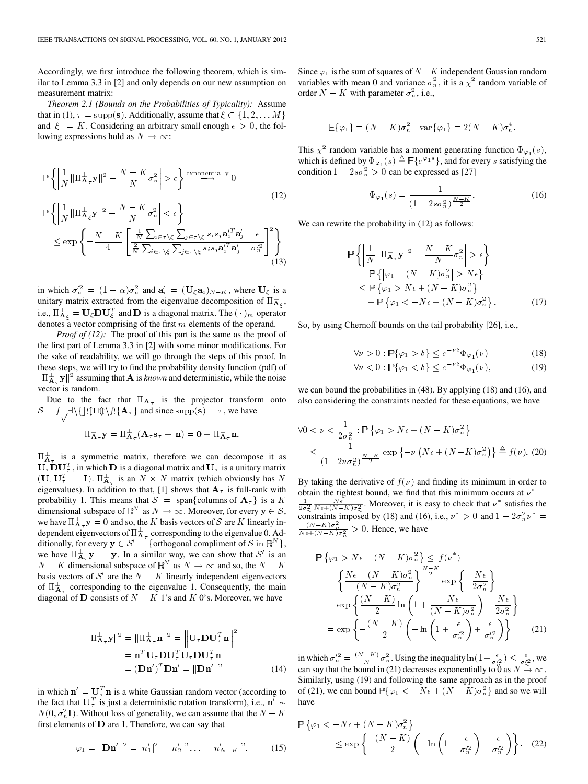Accordingly, we first introduce the following theorem, which is similar to Lemma 3.3 in [2] and only depends on our new assumption on measurement matrix:

*Theorem 2.1 (Bounds on the Probabilities of Typicality):* Assume that in (1),  $\tau = \text{supp}(\mathbf{s})$ . Additionally, assume that  $\xi \subset \{1, 2, \dots M\}$ and  $|\xi| = K$ . Considering an arbitrary small enough  $\epsilon > 0$ , the following expressions hold as  $N \to \infty$ :

$$
\mathbb{P}\left\{\left|\frac{1}{N}\|\Pi_{\mathbf{A}_{\tau}}^{\perp}\mathbf{y}\|^{2}-\frac{N-K}{N}\sigma_{n}^{2}\right|>\epsilon\right\}\overset{\text{exponentially}}{\longrightarrow}0
$$
\n
$$
\mathbb{P}\left\{\left|\frac{1}{N}\|\Pi_{\mathbf{A}_{\xi}}^{\perp}\mathbf{y}\|^{2}-\frac{N-K}{N}\sigma_{n}^{2}\right|<\epsilon\right\}
$$
\n
$$
\leq \exp\left\{-\frac{N-K}{4}\left[\frac{\frac{1}{N}\sum_{i\in\tau\backslash\xi}\sum_{j\in\tau\backslash\xi}s_{i}s_{j}\mathbf{a}_{i}^{T}\mathbf{a}_{j}^{'}-\epsilon}{\frac{2}{N}\sum_{i\in\tau\backslash\xi}\sum_{j\in\tau\backslash\xi}s_{i}s_{j}\mathbf{a}_{i}^{T}\mathbf{a}_{j}^{'}+\sigma_{n}^{2}}\right]^{2}\right\}
$$
\n(12)

in which  $\sigma_n^2 = (1 - \alpha)\sigma_n^2$  and  $\mathbf{a}'_i = (\mathbf{U}_{\xi} \mathbf{a}_i)_{N-K}$ , where  $\mathbf{U}_{\xi}$  is a unitary matrix extracted from the eigenvalue decomposition of  $\Pi_{A_c}^{\perp}$ , i.e.,  $\Pi_{\mathbf{A}_{\xi}}^{\perp} = \mathbf{U}_{\xi} \mathbf{D} \mathbf{U}_{\xi}^T$  and  $\mathbf{D}$  is a diagonal matrix. The  $(\cdot)_{m}$  operator denotes a vector comprising of the first  $m$  elements of the operand.

*Proof of (12):* The proof of this part is the same as the proof of the first part of Lemma 3.3 in [2] with some minor modifications. For the sake of readability, we will go through the steps of this proof. In these steps, we will try to find the probability density function (pdf) of  $\|\Pi_{\mathbf{A}_{\tau}}^{\perp} \mathbf{y}\|^2$  assuming that **A** is *known* and deterministic, while the noise vector is random.

Due to the fact that  $\Pi_{A_{\tau}}$  is the projector transform onto  $S = \int_A \sqrt{\{|\Pi \psi| / |\Pi \phi| / |\Pi A_\tau|\}}$  and since supp(s) =  $\tau$ , we have

$$
\Pi_{\mathbf{A}_\tau}^\perp \mathbf{y} = \Pi_{\mathbf{A}_\tau}^\perp (\mathbf{A}_\tau \mathbf{s}_\tau + \mathbf{n}) = \mathbf{0} + \Pi_{\mathbf{A}_\tau}^\perp \mathbf{n}.
$$

 $\Pi_{\mathbf{A}_{\tau}}^{\perp}$  is a symmetric matrix, therefore we can decompose it as  $U_{\tau}$  **D** $U_{\tau}^{T}$ , in which **D** is a diagonal matrix and  $U_{\tau}$  is a unitary matrix  $(\mathbf{U}_{\tau} \mathbf{U}_{\tau}^T = \mathbf{I})$ .  $\Pi_{\mathbf{A}_{\tau}}^{\perp}$  is an  $N \times N$  matrix (which obviously has N eigenvalues). In addition to that, [1] shows that  $A_{\tau}$  is full-rank with probability 1. This means that  $S = \text{span}\{\text{columns of } \mathbf{A}_{\tau}\}\)$  is a K dimensional subspace of  $\mathbb{R}^N$  as  $N \to \infty$ . Moreover, for every  $y \in S$ , we have  $\Pi_{\mathbf{A}_{\tau}}^{\perp} \mathbf{y} = 0$  and so, the K basis vectors of S are K linearly independent eigenvectors of  $\Pi_{\mathbf{A}_{\tau}}^{\perp}$  corresponding to the eigenvalue 0. Additionally, for every  $y \in S' = \{$  orthogonal compliment of S in  $\mathbb{R}^N$ , we have  $\Pi_{\mathbf{A}_{\tau}}^{\perp} \mathbf{y} = \mathbf{y}$ . In a similar way, we can show that  $\mathcal{S}'$  is an  $N - K$  dimensional subspace of  $\mathbb{R}^N$  as  $N \to \infty$  and so, the  $N - K$ basis vectors of  $S'$  are the  $N - K$  linearly independent eigenvectors of  $\Pi_{\mathbf{A}_{\tau}}^{\perp}$  corresponding to the eigenvalue 1. Consequently, the main diagonal of **D** consists of  $N - K$  1's and K 0's. Moreover, we have

$$
\|\Pi_{\mathbf{A}_{\tau}}^{\perp} \mathbf{y}\|^2 = \|\Pi_{\mathbf{A}_{\tau}}^{\perp} \mathbf{n}\|^2 = \left\|\mathbf{U}_{\tau} \mathbf{D} \mathbf{U}_{\tau}^T \mathbf{n}\right\|^2
$$
  
=  $\mathbf{n}^T \mathbf{U}_{\tau} \mathbf{D} \mathbf{U}_{\tau}^T \mathbf{U}_{\tau} \mathbf{D} \mathbf{U}_{\tau}^T \mathbf{n}$   
=  $(\mathbf{D} \mathbf{n}')^T \mathbf{D} \mathbf{n}' = \|\mathbf{D} \mathbf{n}'\|^2$  (14)

in which  $\mathbf{n}' = \mathbf{U}_{\tau}^T \mathbf{n}$  is a white Gaussian random vector (according to the fact that  $\mathbf{U}_{\tau}^{T}$  is just a deterministic rotation transform), i.e.,  $\mathbf{n}' \sim$  $N(0, \sigma_n^2 I)$ . Without loss of generality, we can assume that the  $N - K$ first elements of  $D$  are 1. Therefore, we can say that

$$
\varphi_1 = ||\mathbf{D}\mathbf{n}'||^2 = |n'_1|^2 + |n'_2|^2 \dots + |n'_{N-K}|^2. \tag{15}
$$

Since  $\varphi_1$  is the sum of squares of  $N-K$  independent Gaussian random variables with mean 0 and variance  $\sigma_n^2$ , it is a  $\chi^2$  random variable of order  $N - K$  with parameter  $\sigma_n^2$ , i.e.,

$$
\mathbb{E}\{\varphi_1\} = (N - K)\sigma_n^2 \quad \text{var}\{\varphi_1\} = 2(N - K)\sigma_n^4.
$$

This  $\chi^2$  random variable has a moment generating function  $\Phi_{\varphi_1}(s)$ , which is defined by  $\Phi_{\varphi_1}(s) \triangleq \mathbb{E}\{e^{\varphi_1 s}\}\,$ , and for every s satisfying the condition  $1 - 2s\sigma_n^2 > 0$  can be expressed as [27]

$$
\Phi_{\varphi_1}(s) = \frac{1}{(1 - 2s\sigma_n^2)^{\frac{N - K}{2}}}.
$$
\n(16)

We can rewrite the probability in  $(12)$  as follows:

$$
\mathbb{P}\left\{\left|\frac{1}{N}\|\Pi_{\mathbf{A}_{\tau}}^{\perp}\mathbf{y}\|^2 - \frac{N-K}{N}\sigma_n^2\right| > \epsilon\right\}
$$
\n
$$
= \mathbb{P}\left\{\left|\varphi_1 - (N-K)\sigma_n^2\right| > N\epsilon\right\}
$$
\n
$$
\leq \mathbb{P}\left\{\varphi_1 > N\epsilon + (N-K)\sigma_n^2\right\}
$$
\n
$$
+ \mathbb{P}\left\{\varphi_1 < -N\epsilon + (N-K)\sigma_n^2\right\}.\tag{17}
$$

So, by using Chernoff bounds on the tail probability [26], i.e.,

$$
\forall \nu > 0 : \mathbb{P}\{\varphi_1 > \delta\} \le e^{-\nu \delta} \Phi_{\varphi_1}(\nu) \tag{18}
$$

$$
\forall \nu < 0 : \mathbb{P}\{\varphi_1 < \delta\} \le e^{-\nu\delta} \Phi_{\varphi_1}(\nu),\tag{19}
$$

we can bound the probabilities in (48). By applying (18) and (16), and also considering the constraints needed for these equations, we have

$$
\forall 0 < \nu < \frac{1}{2\sigma_n^2} : \mathbb{P}\left\{\varphi_1 > N\epsilon + (N - K)\sigma_n^2\right\}
$$
  
\$\leq \frac{1}{\left(1 - 2\nu\sigma\_n^2\right)^{\frac{N - K}{2}}} \exp\left\{-\nu \left(N\epsilon + (N - K)\sigma\_n^2\right)\right\} \triangleq f(\nu). (20)\$

By taking the derivative of  $f(\nu)$  and finding its minimum in order to obtain the tightest bound, we find that this minimum occurs at  $\nu^* =$  $\frac{1}{2\sigma_n^2} \frac{N\epsilon}{N\epsilon + (N-K)\sigma_n^2}$ . Moreover, it is easy to check that  $\nu^*$  satisfies the constraints imposed by (18) and (16), i.e.,  $\nu^* > 0$  and  $1 - 2\sigma_n^2 \nu^* =$  $\frac{(N-K)\sigma_n^2}{N\epsilon + (N-K)\sigma_n^2} > 0$ . Hence, we have

$$
\mathbb{P}\{\varphi_1 > N\epsilon + (N - K)\sigma_n^2\} \le f(\nu^*)
$$
\n
$$
= \left\{\frac{N\epsilon + (N - K)\sigma_n^2}{(N - K)\sigma_n^2}\right\}^{\frac{N - K}{2}} \exp\left\{-\frac{N\epsilon}{2\sigma_n^2}\right\}
$$
\n
$$
= \exp\left\{\frac{(N - K)}{2}\ln\left(1 + \frac{N\epsilon}{(N - K)\sigma_n^2}\right) - \frac{N\epsilon}{2\sigma_n^2}\right\}
$$
\n
$$
= \exp\left\{-\frac{(N - K)}{2}\left(-\ln\left(1 + \frac{\epsilon}{\sigma_n'^2}\right) + \frac{\epsilon}{\sigma_n'^2}\right)\right\} \tag{21}
$$

in which  $\sigma_n^2 = \frac{(N-K)}{N} \sigma_n^2$ . Using the inequality  $\ln(1 + \frac{\epsilon}{\sigma_n^2}) \leq \frac{\epsilon}{\sigma_n^2}$ , we can say that the bound in (21) decreases exponentially to 0 as  $N \stackrel{\alpha}{\rightarrow} \infty$ . Similarly, using (19) and following the same approach as in the proof of (21), we can bound  $\mathbb{P}\{\varphi_1 < -N\epsilon + (N - K)\sigma_n^2\}$  and so we will have

$$
\mathbb{P}\left\{\varphi_1 < -N\epsilon + (N-K)\sigma_n^2\right\} \\
\leq \exp\left\{-\frac{(N-K)}{2}\left(-\ln\left(1-\frac{\epsilon}{\sigma_n'^2}\right) - \frac{\epsilon}{\sigma_n'^2}\right)\right\}.\tag{22}
$$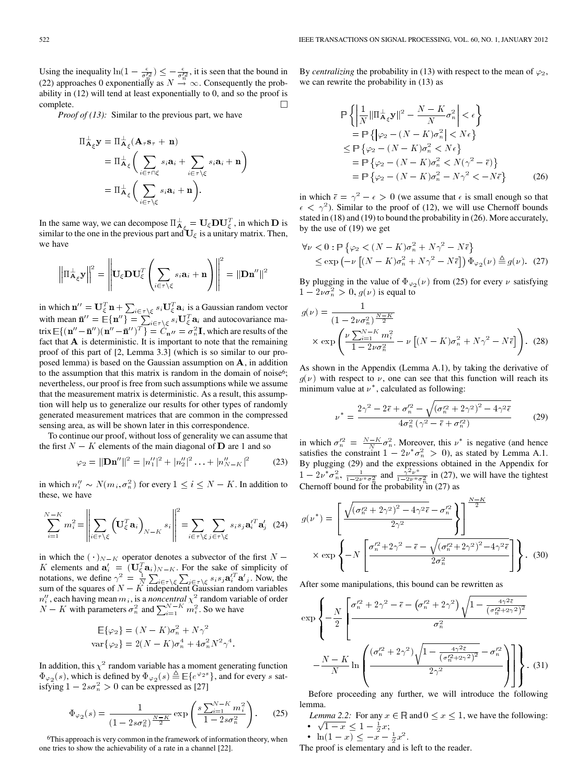Using the inequality  $\ln(1 - \frac{\epsilon}{\sigma_n^2}) \leq -\frac{\epsilon}{\sigma_n^2}$ , it is seen that the bound in (22) approaches 0 exponentially as  $N \stackrel{\sim}{\rightarrow} \infty$ . Consequently the probability in (12) will tend at least exponentially to 0, and so the proof is complete. П

*Proof of (13):* Similar to the previous part, we have

$$
\Pi_{\mathbf{A}_{\xi}}^{\perp} \mathbf{y} = \Pi_{\mathbf{A}_{\xi}}^{\perp} (\mathbf{A}_{\tau} \mathbf{s}_{\tau} + \mathbf{n})
$$
\n
$$
= \Pi_{\mathbf{A}_{\xi}}^{\perp} \left( \sum_{i \in \tau \cap \xi} s_i \mathbf{a}_i + \sum_{i \in \tau \setminus \xi} s_i \mathbf{a}_i + \mathbf{n} \right)
$$
\n
$$
= \Pi_{\mathbf{A}_{\xi}}^{\perp} \left( \sum_{i \in \tau \setminus \xi} s_i \mathbf{a}_i + \mathbf{n} \right).
$$

In the same way, we can decompose  $\Pi_{\mathbf{A}_{\mathcal{E}}}^{\perp} = \mathbf{U}_{\mathcal{E}} \mathbf{D} \mathbf{U}_{\mathcal{E}}^T$ , in which  $\mathbf{D}$  is similar to the one in the previous part and  $\mathbf{U}_{\xi}$  is a unitary matrix. Then, we have

$$
\left\|\Pi_{\mathbf{A}_{\xi}}^{\perp} \mathbf{y}\right\|^{2} = \left\|\mathbf{U}_{\xi} \mathbf{D} \mathbf{U}_{\xi}^{T}\left(\sum_{i \in \tau \setminus \xi} s_{i} \mathbf{a}_{i} + \mathbf{n}\right)\right\|^{2} = \|\mathbf{D} \mathbf{n}^{"}\|^{2}
$$

in which  $\mathbf{n}'' = \mathbf{U}_{\xi}^T \mathbf{n} + \sum_{i \in \tau \setminus \xi} s_i \mathbf{U}_{\xi}^T \mathbf{a}_i$  is a Gaussian random vector with mean  $\bar{\mathbf{n}}'' = \mathbb{E}\{\mathbf{n}''\} = \sum_{i \in \tau \setminus \xi} s_i \mathbf{U}_{\xi}^T \mathbf{a}_i$  and autocovariance matrix  $\mathbb{E}\{(\mathbf{n}''-\mathbf{\bar{n}}'')(\mathbf{n}''-\mathbf{\bar{n}}'')^T\} = \tilde{C}_{\mathbf{n}''} = \sigma_n^2 \mathbf{I}$ , which are results of the fact that  $A$  is deterministic. It is important to note that the remaining proof of this part of [2, Lemma 3.3] (which is so similar to our proposed lemma) is based on the Gaussian assumption on  $A$ , in addition to the assumption that this matrix is random in the domain of noise<sup>6</sup>; nevertheless, our proof is free from such assumptions while we assume that the measurement matrix is deterministic. As a result, this assumption will help us to generalize our results for other types of randomly generated measurement matrices that are common in the compressed sensing area, as will be shown later in this correspondence.

To continue our proof, without loss of generality we can assume that the first  $N - K$  elements of the main diagonal of **D** are 1 and so

$$
\varphi_2 = ||\mathbf{D}\mathbf{n}''||^2 = |n_1''|^2 + |n_2''|^2 \dots + |n_{N-K}''|^2 \tag{23}
$$

in which  $n_i'' \sim N(m_i, \sigma_n^2)$  for every  $1 \le i \le N - K$ . In addition to these, we have

$$
\sum_{i=1}^{N-K} m_i^2 = \left\| \sum_{i \in \tau \backslash \xi} \left( \mathbf{U}_{\xi}^T \mathbf{a}_i \right)_{N-K} s_i \right\|^2 = \sum_{i \in \tau \backslash \xi} \sum_{j \in \tau \backslash \xi} s_i s_j \mathbf{a}_i^{\prime T} \mathbf{a}_j^{\prime} \tag{24}
$$

in which the  $(\cdot)_{N-K}$  operator denotes a subvector of the first  $N -$ K elements and  $\mathbf{a}'_i = (\mathbf{U}_{\xi}^T \mathbf{a}_i)_{N-K}$ . For the sake of simplicity of notations, we define  $\gamma^2 = \frac{1}{N} \sum_{i \in \tau \setminus \xi} \sum_{j \in \tau \setminus \xi} s_i s_j a_i^T a'_j$ . Now, the sum of the squares of  $N - K$  independent Gaussian random variables  $n''_i$ , each having mean  $m_i$ , is a *noncentral*  $\chi^2$  random variable of order  $N - K$  with parameters  $\sigma_n^2$  and  $\sum_{i=1}^{N-K} m_i^2$ . So we have

$$
\mathbb{E}\{\varphi_2\} = (N - K)\sigma_n^2 + N\gamma^2
$$
  
 
$$
\text{var}\{\varphi_2\} = 2(N - K)\sigma_n^4 + 4\sigma_n^2 N^2 \gamma^4
$$

In addition, this  $\chi^2$  random variable has a moment generating function  $\Phi_{\varphi_2}(s)$ , which is defined by  $\Phi_{\varphi_2}(s) \triangleq \mathbb{E}\{e^{\varphi_2 s}\}\,$ , and for every s satisfying  $1 - 2s\sigma_n^2 > 0$  can be expressed as [27]

$$
\Phi_{\varphi_2}(s) = \frac{1}{(1 - 2s\sigma_n^2)^{\frac{N-K}{2}}} \exp\left(\frac{s\sum_{i=1}^{N-K} m_i^2}{1 - 2s\sigma_n^2}\right).
$$
 (25)

.

6This approach is very common in the framework of information theory, when one tries to show the achievability of a rate in a channel [22].

By *centralizing* the probability in (13) with respect to the mean of  $\varphi_2$ , we can rewrite the probability in (13) as

$$
\mathbb{P}\left\{\left|\frac{1}{N}\|\Pi_{\mathbf{A}_{\xi}}^{\perp}\mathbf{y}\|^2 - \frac{N-K}{N}\sigma_n^2\right| < \epsilon\right\}
$$
\n
$$
= \mathbb{P}\left\{\left|\varphi_2 - (N-K)\sigma_n^2\right| < N\epsilon\right\}
$$
\n
$$
\leq \mathbb{P}\left\{\varphi_2 - (N-K)\sigma_n^2 < N\epsilon\right\}
$$
\n
$$
= \mathbb{P}\left\{\varphi_2 - (N-K)\sigma_n^2 < N(\gamma^2 - \bar{\epsilon})\right\}
$$
\n
$$
= \mathbb{P}\left\{\varphi_2 - (N-K)\sigma_n^2 - N\gamma^2 < -N\bar{\epsilon}\right\} \tag{26}
$$

in which  $\bar{\epsilon} = \gamma^2 - \epsilon > 0$  (we assume that  $\epsilon$  is small enough so that  $\epsilon < \gamma^2$ ). Similar to the proof of (12), we will use Chernoff bounds stated in (18) and (19) to bound the probability in (26). More accurately, by the use of (19) we get

$$
\forall \nu < 0: \mathbb{P}\left\{\varphi_2 < (N - K)\sigma_n^2 + N\gamma^2 - N\bar{\epsilon}\right\}
$$
\n
$$
\leq \exp\left(-\nu \left[ (N - K)\sigma_n^2 + N\gamma^2 - N\bar{\epsilon}\right] \right) \Phi_{\varphi_2}(\nu) \stackrel{\Delta}{=} g(\nu). \tag{27}
$$

By plugging in the value of  $\Phi_{\varphi_2}(\nu)$  from (25) for every  $\nu$  satisfying  $1 - 2\nu \sigma_n^2 > 0$ ,  $g(\nu)$  is equal to

$$
g(\nu) = \frac{1}{(1 - 2\nu\sigma_n^2)^{\frac{N-K}{2}}} \times \exp\left(\frac{\nu \sum_{i=1}^{N-K} m_i^2}{1 - 2\nu\sigma_n^2} - \nu \left[ (N - K)\sigma_n^2 + N\gamma^2 - N\bar{\epsilon} \right] \right). (28)
$$

As shown in the Appendix (Lemma A.1), by taking the derivative of  $q(\nu)$  with respect to  $\nu$ , one can see that this function will reach its minimum value at  $\nu^*$ , calculated as following:

$$
\nu^* = \frac{2\gamma^2 - 2\bar{\epsilon} + \sigma_n^{\prime 2} - \sqrt{(\sigma_n^{\prime 2} + 2\gamma^2)^2 - 4\gamma^2 \bar{\epsilon}}}{4\sigma_n^2 (\gamma^2 - \bar{\epsilon} + \sigma_n^{\prime 2})}
$$
(29)

in which  $\sigma_n^2 = \frac{N-K}{N} \sigma_n^2$ . Moreover, this  $\nu^*$  is negative (and hence satisfies the constraint  $1 - 2\nu^* \sigma_n^2 > 0$ , as stated by Lemma A.1. By plugging (29) and the expressions obtained in the Appendix for  $1 - 2\nu^* \sigma_n^2$ ,  $\frac{1}{1 - 2\nu^* \sigma_n^2}$  and  $\frac{\gamma^2 \nu^*}{1 - 2\nu^* \sigma_n^2}$  in (27), we will have the tightest Chernoff bound for the probability in (27) as

$$
g(\nu^*) = \left[ \frac{\sqrt{(\sigma_n^{\prime 2} + 2\gamma^2)^2 - 4\gamma^2 \bar{\epsilon}} - \sigma_n^{\prime 2}}{2\gamma^2} \right] \frac{\sqrt{K - K}}{2}
$$

$$
\times \exp \left\{ -N \left[ \frac{\sigma_n^{\prime 2} + 2\gamma^2 - \bar{\epsilon} - \sqrt{(\sigma_n^{\prime 2} + 2\gamma^2)^2 - 4\gamma^2 \bar{\epsilon}}}{2\sigma_n^2} \right] \right\}. \quad (30)
$$

After some manipulations, this bound can be rewritten as

$$
\exp\left\{-\frac{N}{2}\left[\frac{\sigma_{n}^{'2} + 2\gamma^{2} - \bar{\epsilon} - (\sigma_{n}^{'2} + 2\gamma^{2})\sqrt{1 - \frac{4\gamma^{2}\bar{\epsilon}}{(\sigma_{n}^{'2} + 2\gamma^{2})^{2}}}}{\sigma_{n}^{2}} - \frac{N - K}{N}\ln\left(\frac{(\sigma_{n}^{'2} + 2\gamma^{2})\sqrt{1 - \frac{4\gamma^{2}\bar{\epsilon}}{(\sigma_{n}^{'2} + 2\gamma^{2})^{2}}}}{2\gamma^{2}} - \frac{\sigma_{n}^{'2}}{2}\right)\right\}.
$$
 (31)

Before proceeding any further, we will introduce the following lemma.

- *Lemma 2.2:* For any  $x \in \mathbb{R}$  and  $0 \le x \le 1$ , we have the following: •  $\sqrt{1-x} \leq 1 - \frac{1}{2}x;$
- $\ln(1-x) \leq -x \frac{1}{2}x^2$ . The proof is elementary and is left to the reader.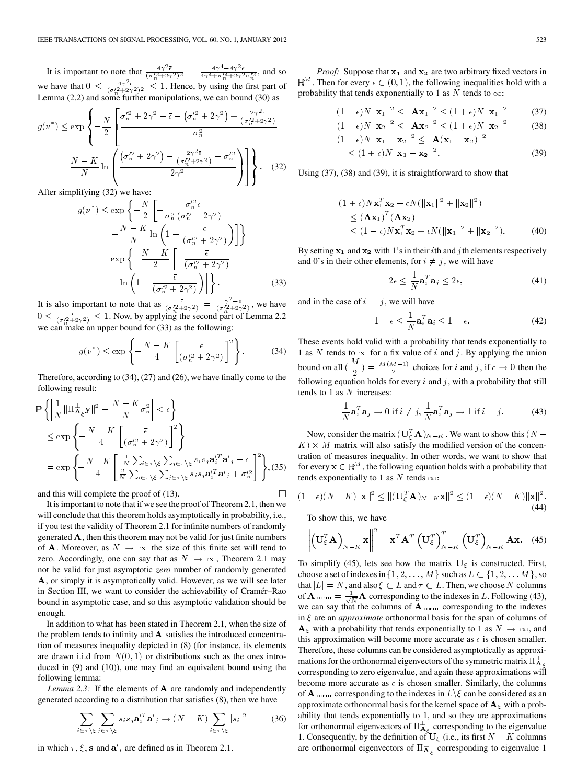It is important to note that  $\frac{4\gamma^2 \bar{\epsilon}}{(\sigma_s'^2 + 2\gamma^2)^2} = \frac{4\gamma^4 - 4\gamma^2 \epsilon}{4\gamma^4 + \sigma_s'^4 + 2\gamma^2 \sigma_s'^2}$ , and so we have that  $0 \leq \frac{4\gamma^2 \bar{\epsilon}}{(\sigma_b'^2 + 2\gamma^2)^2} \leq 1$ . Hence, by using the first part of Lemma (2.2) and some further manipulations, we can bound (30) as

$$
g(\nu^*) \le \exp\left\{-\frac{N}{2} \left[ \frac{\sigma_n^{\prime 2} + 2\gamma^2 - \bar{\epsilon} - (\sigma_n^{\prime 2} + 2\gamma^2) + \frac{2\gamma^2 \bar{\epsilon}}{(\sigma_n^{\prime 2} + 2\gamma^2)}}{\sigma_n^2} - \frac{N - K}{N} \ln \left( \frac{(\sigma_n^{\prime 2} + 2\gamma^2) - \frac{2\gamma^2 \bar{\epsilon}}{(\sigma_n^{\prime 2} + 2\gamma^2)} - \sigma_n^{\prime 2}}{2\gamma^2} \right) \right] \right\}.
$$
 (32)

After simplifying (32) we have:

$$
g(\nu^*) \le \exp\left\{-\frac{N}{2}\left[-\frac{\sigma_n'^2 \bar{\epsilon}}{\sigma_n^2(\sigma_n'^2 + 2\gamma^2)} -\frac{N-K}{N}\ln\left(1 - \frac{\bar{\epsilon}}{(\sigma_n'^2 + 2\gamma^2)}\right)\right]\right\}
$$
  
=  $\exp\left\{-\frac{N-K}{2}\left[-\frac{\bar{\epsilon}}{(\sigma_n'^2 + 2\gamma^2)} -\ln\left(1 - \frac{\bar{\epsilon}}{(\sigma_n'^2 + 2\gamma^2)}\right)\right]\right\}.$  (33)

It is also important to note that as  $\frac{\bar{\epsilon}}{(\sigma_n'^2 + 2\gamma^2)} = \frac{\gamma^2 - \epsilon}{(\sigma_n'^2 + 2\gamma^2)}$ , we have  $0 \leq \frac{\bar{\epsilon}}{(\sigma_n'^2 + 2\gamma^2)} \leq 1$ . Now, by applying the second part of Lemma 2.2 we can make an upper bound for (33) as the following:

$$
g(\nu^*) \le \exp\left\{-\frac{N-K}{4} \left[ \frac{\bar{\epsilon}}{(\sigma_n'^2 + 2\gamma^2)} \right]^2 \right\}.
$$
 (34)

Therefore, according to (34), (27) and (26), we have finally come to the following result:

$$
\mathbb{P}\left\{\left|\frac{1}{N}\|\Pi_{\mathbf{A}_{\xi}}^{\perp}\mathbf{y}\|^{2}-\frac{N-K}{N}\sigma_{n}^{2}\right|<\epsilon\right\}
$$
\n
$$
\leq \exp\left\{-\frac{N-K}{4}\left[\frac{\bar{\epsilon}}{(\sigma_{n}^{\prime 2}+2\gamma^{2})}\right]^{2}\right\}
$$
\n
$$
=\exp\left\{-\frac{N-K}{4}\left[\frac{\frac{1}{N}\sum_{i\in\tau\backslash\xi}\sum_{j\in\tau\backslash\xi} s_{i} s_{j} \mathbf{a}_{i}^{\prime T} \mathbf{a}_{j}^{\prime}-\epsilon}{\frac{2}{N}\sum_{i\in\tau\backslash\xi}\sum_{j\in\tau\backslash\xi} s_{i} s_{j} \mathbf{a}_{i}^{\prime T} \mathbf{a}_{j}^{\prime}+\sigma_{n}^{\prime 2}}\right]^{2}\right\},(35)
$$

and this will complete the proof of (13).

It is important to note that if we see the proof of Theorem 2.1, then we will conclude that this theorem holds asymptotically in probability, i.e., if you test the validity of Theorem 2.1 for infinite numbers of randomly generated  $\bf{A}$ , then this theorem may not be valid for just finite numbers of **A**. Moreover, as  $N \rightarrow \infty$  the size of this finite set will tend to zero. Accordingly, one can say that as  $N \to \infty$ , Theorem 2.1 may not be valid for just asymptotic *zero* number of randomly generated A, or simply it is asymptotically valid. However, as we will see later in Section III, we want to consider the achievability of Cramér–Rao bound in asymptotic case, and so this asymptotic validation should be enough.

In addition to what has been stated in Theorem 2.1, when the size of the problem tends to infinity and  $A$  satisfies the introduced concentration of measures inequality depicted in (8) (for instance, its elements are drawn i.i.d from  $N(0, 1)$  or distributions such as the ones introduced in (9) and (10)), one may find an equivalent bound using the following lemma:

*Lemma 2.3:* If the elements of  $\bf{A}$  are randomly and independently generated according to a distribution that satisfies (8), then we have

$$
\sum_{i \in \tau \setminus \xi} \sum_{j \in \tau \setminus \xi} s_i s_j \mathbf{a}_i^T \mathbf{a'}_j \to (N - K) \sum_{i \in \tau \setminus \xi} |s_i|^2 \tag{36}
$$

in which  $\tau$ ,  $\xi$ , s and  $\mathbf{a}'_i$  are defined as in Theorem 2.1.

*Proof:* Suppose that  $x_1$  and  $x_2$  are two arbitrary fixed vectors in <sup>M</sup>. Then for every  $\epsilon \in (0,1)$ , the following inequalities hold with a probability that tends exponentially to 1 as N tends to  $\infty$ :

$$
(1 - \epsilon)N \|\mathbf{x}_1\|^2 \le \|\mathbf{A}\mathbf{x}_1\|^2 \le (1 + \epsilon)N \|\mathbf{x}_1\|^2 \qquad (37)
$$
  

$$
(1 - \epsilon)N \|\mathbf{x}_2\|^2 \le \|\mathbf{A}\mathbf{x}_2\|^2 \le (1 + \epsilon)N \|\mathbf{x}_2\|^2 \qquad (38)
$$

$$
(1 - \epsilon)N ||\mathbf{x}_1 - \mathbf{x}_2||^2 \le ||\mathbf{A}(\mathbf{x}_1 - \mathbf{x}_2)||^2
$$
  
 
$$
\le (1 + \epsilon)N ||\mathbf{x}_1 - \mathbf{x}_2||^2.
$$
 (39)

Using (37), (38) and (39), it is straightforward to show that

$$
(1 + \epsilon) N \mathbf{x}_1^T \mathbf{x}_2 - \epsilon N (\|\mathbf{x}_1\|^2 + \|\mathbf{x}_2\|^2)
$$
  
\n
$$
\leq (\mathbf{A}\mathbf{x}_1)^T (\mathbf{A}\mathbf{x}_2)
$$
  
\n
$$
\leq (1 - \epsilon) N \mathbf{x}_1^T \mathbf{x}_2 + \epsilon N (\|\mathbf{x}_1\|^2 + \|\mathbf{x}_2\|^2).
$$
 (40)

By setting  $x_1$  and  $x_2$  with 1's in their *i*th and *j* th elements respectively and 0's in their other elements, for  $i \neq j$ , we will have

$$
-2\epsilon \le \frac{1}{N} \mathbf{a}_i^T \mathbf{a}_j \le 2\epsilon,\tag{41}
$$

and in the case of  $i = j$ , we will have

$$
1 - \epsilon \le \frac{1}{N} \mathbf{a}_i^T \mathbf{a}_i \le 1 + \epsilon. \tag{42}
$$

These events hold valid with a probability that tends exponentially to 1 as N tends to  $\infty$  for a fix value of *i* and *j*. By applying the union bound on all  $\binom{M}{2} = \frac{M(M-1)}{2}$  choices for *i* and *j*, if  $\epsilon \to 0$  then the following equation holds for every  $i$  and  $j$ , with a probability that still tends to 1 as  $N$  increases:

$$
\frac{1}{N}\mathbf{a}_{i}^{T}\mathbf{a}_{j} \rightarrow 0 \text{ if } i \neq j, \frac{1}{N}\mathbf{a}_{i}^{T}\mathbf{a}_{j} \rightarrow 1 \text{ if } i = j.
$$
 (43)

Now, consider the matrix  $(\mathbf{U}_{\xi}^{T} \mathbf{A})_{N-K}$ . We want to show this  $(N - \mathbf{A})$  $K) \times M$  matrix will also satisfy the modified version of the concentration of measures inequality. In other words, we want to show that for every  $\mathbf{x} \in \mathbb{R}^M$ , the following equation holds with a probability that tends exponentially to 1 as N tends  $\infty$ :

$$
(1 - \epsilon)(N - K) ||\mathbf{x}||^2 \le ||(\mathbf{U}_{\xi}^T \mathbf{A})_{N - K} \mathbf{x}||^2 \le (1 + \epsilon)(N - K) ||\mathbf{x}||^2.
$$
\n(44)

To show this, we have

 $\Box$ 

$$
\left\| \left( \mathbf{U}_{\xi}^T \mathbf{A} \right)_{N-K} \mathbf{x} \right\|^2 = \mathbf{x}^T \mathbf{A}^T \left( \mathbf{U}_{\xi}^T \right)_{N-K}^T \left( \mathbf{U}_{\xi}^T \right)_{N-K} \mathbf{A} \mathbf{x}.
$$
 (45)

To simplify (45), lets see how the matrix  $U_{\xi}$  is constructed. First, choose a set of indexes in  $\{1, 2, \ldots, M\}$  such as  $L \subset \{1, 2, \ldots, M\}$ , so that  $|L| = N$ , and also  $\xi \subset L$  and  $\tau \subset L$ . Then, we choose N columns of  $\mathbf{A}_{\text{norm}} = \frac{1}{\sqrt{N}} \mathbf{A}$  corresponding to the indexes in L. Following (43), we can say that the columns of  $A_{\text{norm}}$  corresponding to the indexes in  $\xi$  are an *approximate* orthonormal basis for the span of columns of  $A_{\xi}$  with a probability that tends exponentially to 1 as  $N \to \infty$ , and this approximation will become more accurate as  $\epsilon$  is chosen smaller. Therefore, these columns can be considered asymptotically as approximations for the orthonormal eigenvectors of the symmetric matrix  $\Pi_{\bf A}^\perp$ corresponding to zero eigenvalue, and again these approximations will become more accurate as  $\epsilon$  is chosen smaller. Similarly, the columns of  ${\bf A}_{\rm norm}$  corresponding to the indexes in  $L\backslash \xi$  can be considered as an approximate orthonormal basis for the kernel space of  ${\bf A}_{\xi}$  with a probability that tends exponentially to 1, and so they are approximations for orthonormal eigenvectors of  $\Pi_{A_\varepsilon}^{\perp}$  corresponding to the eigenvalue 1. Consequently, by the definition of  $U_{\xi}$  (i.e., its first  $N - K$  columns are orthonormal eigenvectors of  $\Pi_{A_\varepsilon}^{\perp}$  corresponding to eigenvalue 1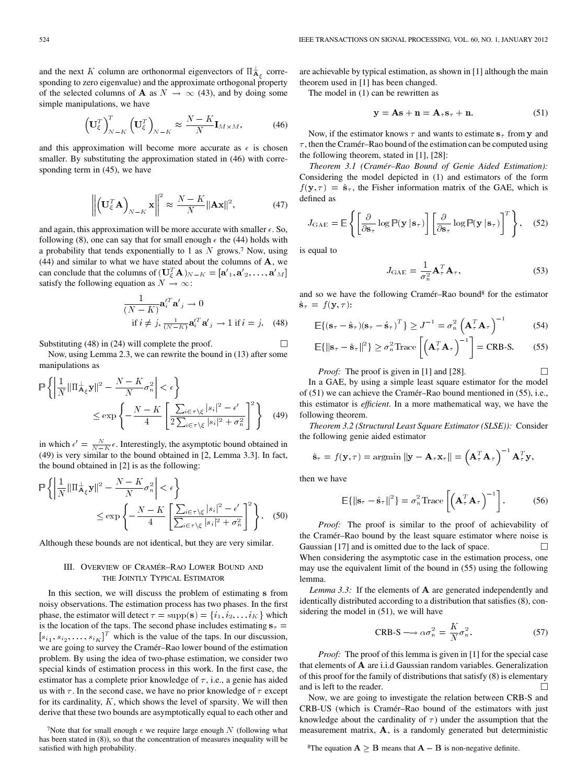and the next K column are orthonormal eigenvectors of  $\Pi_{A_\varepsilon}^{\perp}$  corresponding to zero eigenvalue) and the approximate orthogonal property of the selected columns of **A** as  $N \rightarrow \infty$  (43), and by doing some simple manipulations, we have

$$
\left(\mathbf{U}_{\xi}^{T}\right)_{N-K}^{T}\left(\mathbf{U}_{\xi}^{T}\right)_{N-K} \approx \frac{N-K}{N}\mathbf{I}_{M\times M},\tag{46}
$$

and this approximation will become more accurate as  $\epsilon$  is chosen smaller. By substituting the approximation stated in (46) with corresponding term in (45), we have

$$
\left\| \left( \mathbf{U}_{\xi}^{T} \mathbf{A} \right)_{N-K} \mathbf{x} \right\|^{2} \approx \frac{N-K}{N} \|\mathbf{A} \mathbf{x}\|^{2},\tag{47}
$$

and again, this approximation will be more accurate with smaller  $\epsilon$ . So, following (8), one can say that for small enough  $\epsilon$  the (44) holds with a probability that tends exponentially to 1 as  $N$  grows.<sup>7</sup> Now, using  $(44)$  and similar to what we have stated about the columns of  $A$ , we can conclude that the columns of  $(\mathbf{U}_{\xi}^T \mathbf{A})_{N-K} = [\mathbf{a'}_1, \mathbf{a'}_2, \dots, \mathbf{a'}_M]$ satisfy the following equation as  $N \to \infty$ :

$$
\frac{1}{(N-K)} \mathbf{a}_{i}^{\prime T} \mathbf{a}_{j}^{\prime} \rightarrow 0
$$
  
if  $i \neq j$ ,  $\frac{1}{(N-K)} \mathbf{a}_{i}^{\prime T} \mathbf{a}_{j}^{\prime} \rightarrow 1$  if  $i = j$ . (48)

Substituting (48) in (24) will complete the proof.

Now, using Lemma 2.3, we can rewrite the bound in (13) after some manipulations as

$$
\mathbb{P}\left\{\left|\frac{1}{N}\|\Pi_{\mathbf{A}_{\xi}}^{\perp}\mathbf{y}\|^{2}-\frac{N-K}{N}\sigma_{n}^{2}\right|<\epsilon\right\}
$$
\n
$$
\leq \exp\left\{-\frac{N-K}{4}\left[\frac{\sum_{i\in\tau\backslash\xi}|s_{i}|^{2}-\epsilon'}{2\sum_{i\in\tau\backslash\xi}|s_{i}|^{2}+\sigma_{n}^{2}}\right]^{2}\right\} \quad (49)
$$

in which  $\epsilon' = \frac{N}{N-K} \epsilon$ . Interestingly, the asymptotic bound obtained in (49) is very similar to the bound obtained in [2, Lemma 3.3]. In fact, the bound obtained in [2] is as the following:

$$
\mathbb{P}\left\{\left|\frac{1}{N}\|\Pi_{\mathbf{A}_{\xi}}^{\perp}\mathbf{y}\|^{2}-\frac{N-K}{N}\sigma_{n}^{2}\right|<\epsilon\right\}
$$

$$
\leq \exp\left\{-\frac{N-K}{4}\left[\frac{\sum_{i\in\tau\backslash\xi}|s_{i}|^{2}-\epsilon'}{\sum_{i\in\tau\backslash\xi}|s_{i}|^{2}+\sigma_{n}^{2}}\right]^{2}\right\}.
$$
 (50)

Although these bounds are not identical, but they are very similar.

# III. OVERVIEW OF CRAMÉR–RAO LOWER BOUND AND THE JOINTLY TYPICAL ESTIMATOR

In this section, we will discuss the problem of estimating s from noisy observations. The estimation process has two phases. In the first phase, the estimator will detect  $\tau = \text{supp}(\mathbf{s}) = \{i_1, i_2, \dots i_K\}$  which is the location of the taps. The second phase includes estimating  $s<sub>\tau</sub>$  =  $[s_{i_1}, s_{i_2}, \ldots, s_{i_K}]^T$  which is the value of the taps. In our discussion, we are going to survey the Cramér–Rao lower bound of the estimation problem. By using the idea of two-phase estimation, we consider two special kinds of estimation process in this work. In the first case, the estimator has a complete prior knowledge of  $\tau$ , i.e., a genie has aided us with  $\tau$ . In the second case, we have no prior knowledge of  $\tau$  except for its cardinality,  $K$ , which shows the level of sparsity. We will then derive that these two bounds are asymptotically equal to each other and are achievable by typical estimation, as shown in [1] although the main theorem used in [1] has been changed.

The model in (1) can be rewritten as

$$
y = As + n = A_{\tau} s_{\tau} + n. \tag{51}
$$

Now, if the estimator knows  $\tau$  and wants to estimate  $s_{\tau}$  from y and  $\tau$ , then the Cramér–Rao bound of the estimation can be computed using the following theorem, stated in [1], [28]:

*Theorem 3.1 (Cramér–Rao Bound of Genie Aided Estimation):* Considering the model depicted in (1) and estimators of the form  $f(\mathbf{y}, \tau) = \hat{\mathbf{s}}_{\tau}$ , the Fisher information matrix of the GAE, which is defined as

$$
J_{\text{GAE}} = \mathbb{E}\left\{ \left[ \frac{\partial}{\partial \mathbf{s}_{\tau}} \log \mathbb{P}(\mathbf{y} \,|\, \mathbf{s}_{\tau}) \right] \left[ \frac{\partial}{\partial \mathbf{s}_{\tau}} \log \mathbb{P}(\mathbf{y} \,|\, \mathbf{s}_{\tau}) \right]^T \right\},\quad(52)
$$

is equal to

 $\Box$ 

$$
J_{\text{GAE}} = \frac{1}{\sigma_n^2} \mathbf{A}_{\tau}^T \mathbf{A}_{\tau},
$$
 (53)

 $\Box$ 

and so we have the following Cramér–Rao bound8 for the estimator  $\hat{\mathbf{s}}_{\tau} = f(\mathbf{y}, \tau)$ :

$$
\mathbb{E}\{(\mathbf{s}_{\tau} - \hat{\mathbf{s}}_{\tau})(\mathbf{s}_{\tau} - \hat{\mathbf{s}}_{\tau})^T\} \ge J^{-1} = \sigma_n^2 \left(\mathbf{A}_{\tau}^T \mathbf{A}_{\tau}\right)^{-1}
$$
(54)

$$
\mathbb{E}\{\|\mathbf{s}_{\tau} - \hat{\mathbf{s}}_{\tau}\|^2\} \ge \sigma_n^2 \text{Trace}\left[\left(\mathbf{A}_{\tau}^T \mathbf{A}_{\tau}\right)^{-1}\right] = \text{CRB-S}.\tag{55}
$$

*Proof:* The proof is given in [1] and [28].

In a GAE, by using a simple least square estimator for the model of (51) we can achieve the Cramér–Rao bound mentioned in (55), i.e., this estimator is *efficient*. In a more mathematical way, we have the following theorem.

*Theorem 3.2 (Structural Least Square Estimator (SLSE)):* Consider the following genie aided estimator

$$
\hat{\mathbf{s}}_{\tau} = f(\mathbf{y}, \tau) = \operatorname{argmin} \|\mathbf{y} - \mathbf{A}_{\tau} \mathbf{x}_{\tau}\| = \left(\mathbf{A}_{\tau}^T \mathbf{A}_{\tau}\right)^{-1} \mathbf{A}_{\tau}^T \mathbf{y},
$$

then we have

$$
\mathbb{E}\{\|\mathbf{s}_{\tau} - \hat{\mathbf{s}}_{\tau}\|^2\} = \sigma_n^2 \text{Trace}\left[\left(\mathbf{A}_{\tau}^T \mathbf{A}_{\tau}\right)^{-1}\right].
$$
 (56)

*Proof:* The proof is similar to the proof of achievability of the Cramér–Rao bound by the least square estimator where noise is Gaussian [17] and is omitted due to the lack of space.  $\Box$ When considering the asymptotic case in the estimation process, one may use the equivalent limit of the bound in (55) using the following lemma.

*Lemma 3.3:* If the elements of **A** are generated independently and identically distributed according to a distribution that satisfies (8), considering the model in (51), we will have

$$
CRB-S \longrightarrow \alpha \sigma_n^2 = \frac{K}{N} \sigma_n^2.
$$
 (57)

*Proof:* The proof of this lemma is given in [1] for the special case that elements of  $A$  are i.i.d Gaussian random variables. Generalization of this proof for the family of distributions that satisfy (8) is elementary and is left to the reader.  $\Box$ 

Now, we are going to investigate the relation between CRB-S and CRB-US (which is Cramér–Rao bound of the estimators with just knowledge about the cardinality of  $\tau$ ) under the assumption that the measurement matrix,  $A$ , is a randomly generated but deterministic

<sup>8</sup>The equation  $A \geq B$  means that  $A - B$  is non-negative definite.

<sup>&</sup>lt;sup>7</sup>Note that for small enough  $\epsilon$  we require large enough  $N$  (following what has been stated in (8)), so that the concentration of measures inequality will be satisfied with high probability.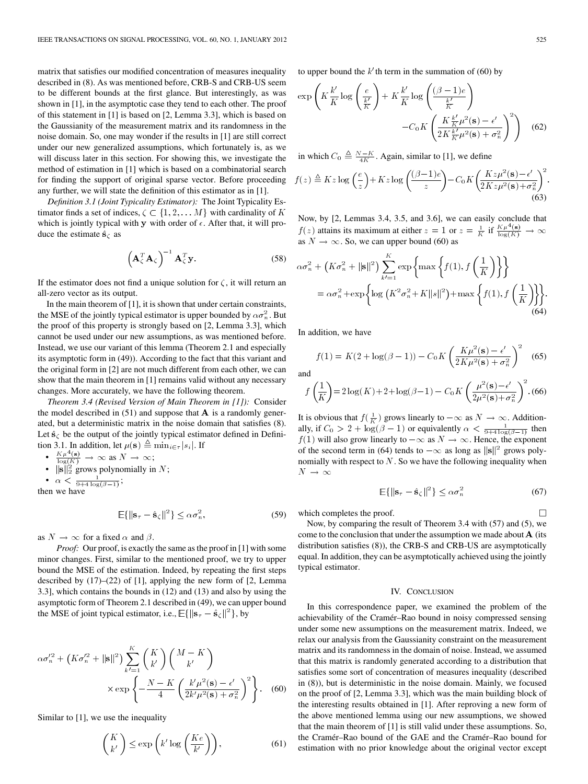matrix that satisfies our modified concentration of measures inequality described in (8). As was mentioned before, CRB-S and CRB-US seem to be different bounds at the first glance. But interestingly, as was shown in [1], in the asymptotic case they tend to each other. The proof of this statement in [1] is based on [2, Lemma 3.3], which is based on the Gaussianity of the measurement matrix and its randomness in the noise domain. So, one may wonder if the results in [1] are still correct under our new generalized assumptions, which fortunately is, as we will discuss later in this section. For showing this, we investigate the method of estimation in [1] which is based on a combinatorial search for finding the support of original sparse vector. Before proceeding any further, we will state the definition of this estimator as in [1].

*Definition 3.1 (Joint Typicality Estimator):* The Joint Typicality Estimator finds a set of indices,  $\zeta \subset \{1, 2, \ldots M\}$  with cardinality of K which is jointly typical with **y** with order of  $\epsilon$ . After that, it will pro-<br>duce the estimate  $\hat{\mathbf{s}}_{\zeta}$  as duce the estimate  $\hat{\mathbf{s}}_{\zeta}$  as

$$
\left(\mathbf{A}_{\zeta}^T \mathbf{A}_{\zeta}\right)^{-1} \mathbf{A}_{\zeta}^T \mathbf{y}.
$$
 (58)

If the estimator does not find a unique solution for  $\zeta$ , it will return an all-zero vector as its output.

In the main theorem of [1], it is shown that under certain constraints, the MSE of the jointly typical estimator is upper bounded by  $\alpha \sigma_n^2$ . But the proof of this property is strongly based on [2, Lemma 3.3], which cannot be used under our new assumptions, as was mentioned before. Instead, we use our variant of this lemma (Theorem 2.1 and especially its asymptotic form in (49)). According to the fact that this variant and the original form in [2] are not much different from each other, we can show that the main theorem in [1] remains valid without any necessary changes. More accurately, we have the following theorem.

*Theorem 3.4 (Revised Version of Main Theorem in [1]):* Consider the model described in  $(51)$  and suppose that **A** is a randomly generated, but a deterministic matrix in the noise domain that satisfies (8). Let  $\hat{\mathbf{s}}_{\zeta}$  be the output of the jointly typical estimator defined in Definition 3.1. In addition, let  $\mu(s) \triangleq \min_{i \in \tau} |s_i|$ . If

• 
$$
\frac{K\mu^4(s)}{\log(K)} \to \infty
$$
 as  $N \to \infty$ ;

•  $\|\mathbf{s}\|_2^2$  grows polynomially in N;

• 
$$
\alpha < \frac{1}{9 + 4\log(\beta - 1)};
$$

then we have

$$
\mathbb{E}\{\|\mathbf{s}_{\tau} - \hat{\mathbf{s}}_{\zeta}\|^2\} \leq \alpha \sigma_n^2,\tag{59}
$$

as  $N \to \infty$  for a fixed  $\alpha$  and  $\beta$ .

*Proof:* Our proof, is exactly the same as the proof in [1] with some minor changes. First, similar to the mentioned proof, we try to upper bound the MSE of the estimation. Indeed, by repeating the first steps described by (17)–(22) of [1], applying the new form of [2, Lemma 3.3], which contains the bounds in (12) and (13) and also by using the asymptotic form of Theorem 2.1 described in (49), we can upper bound the MSE of joint typical estimator, i.e.,  $\mathbb{E}\{\|\mathbf{s}_{\tau} - \hat{\mathbf{s}}_{\zeta}\|^2\}$ , by

$$
\alpha \sigma_n^2 + \left( K \sigma_n^2 + \|\mathbf{s}\|^2 \right) \sum_{k'=1}^K \binom{K}{k'} \binom{M-K}{k'}
$$

$$
\times \exp \left\{ -\frac{N-K}{4} \left( \frac{k'\mu^2(\mathbf{s}) - \epsilon'}{2k'\mu^2(\mathbf{s}) + \sigma_n^2} \right)^2 \right\}. \tag{60}
$$

Similar to [1], we use the inequality

$$
\binom{K}{k'} \le \exp\left(k' \log\left(\frac{Ke}{k'}\right)\right),\tag{61}
$$

to upper bound the  $k'$ th term in the summation of (60) by

$$
\exp\left(K\frac{k'}{K}\log\left(\frac{e}{\frac{k'}{K}}\right) + K\frac{k'}{K}\log\left(\frac{(\beta-1)e}{\frac{k'}{K}}\right) - C_0K\left(\frac{K\frac{k'}{K}\mu^2(\mathbf{s}) - \epsilon'}{2K\frac{k'}{K}\mu^2(\mathbf{s}) + \sigma_n^2}\right)^2\right) \tag{62}
$$

in which  $C_0 \triangleq \frac{N-K}{4K}$ . Again, similar to [1], we define

$$
f(z) \triangleq Kz \log\left(\frac{e}{z}\right) + Kz \log\left(\frac{(\beta - 1)e}{z}\right) - C_0 K \left(\frac{Kz\mu^2(\mathbf{s}) - \epsilon'}{2Kz\mu^2(\mathbf{s}) + \sigma_n^2}\right)^2.
$$
\n(63)

Now, by [2, Lemmas 3.4, 3.5, and 3.6], we can easily conclude that  $f(z)$  attains its maximum at either  $z = 1$  or  $z = \frac{1}{K}$  if  $\frac{K \mu^4(s)}{\log(K)} \to \infty$ as  $N \to \infty$ . So, we can upper bound (60) as

$$
\alpha \sigma_n^2 + \left(K \sigma_n^2 + \|\mathbf{s}\|^2\right) \sum_{k'=1}^K \exp\left\{\max\left\{f(1), f\left(\frac{1}{K}\right)\right\}\right\}
$$
  
=  $\alpha \sigma_n^2 + \exp\left\{\log\left(K^2 \sigma_n^2 + K\|\mathbf{s}\|^2\right) + \max\left\{f(1), f\left(\frac{1}{K}\right)\right\}\right\}.$  (64)

In addition, we have

$$
f(1) = K(2 + \log(\beta - 1)) - C_0 K \left(\frac{K\mu^2(\mathbf{s}) - \epsilon'}{2K\mu^2(\mathbf{s}) + \sigma_n^2}\right)^2
$$
 (65)

and

$$
f\left(\frac{1}{K}\right) = 2\log(K) + 2 + \log(\beta - 1) - C_0 K \left(\frac{\mu^2(\mathbf{s}) - \epsilon'}{2\mu^2(\mathbf{s}) + \sigma_n^2}\right)^2
$$
 (66)

It is obvious that  $f(\frac{1}{K})$  grows linearly to  $-\infty$  as  $N \to \infty$ . Additionally, if  $C_0 > 2 + \log(\beta - 1)$  or equivalently  $\alpha < \frac{1}{9 + 4 \log(\beta - 1)}$  then  $f(1)$  will also grow linearly to  $-\infty$  as  $N \to \infty$ . Hence, the exponent of the second term in (64) tends to  $-\infty$  as long as  $\|\mathbf{s}\|^2$  grows polynomially with respect to  $N$ . So we have the following inequality when  $N \rightarrow \infty$ 

$$
\mathbb{E}\{\|\mathbf{s}_{\tau} - \hat{\mathbf{s}}_{\zeta}\|^2\} \leq \alpha \sigma_n^2 \tag{67}
$$

 $\Box$ 

which completes the proof.

Now, by comparing the result of Theorem 3.4 with (57) and (5), we come to the conclusion that under the assumption we made about  $A$  (its distribution satisfies (8)), the CRB-S and CRB-US are asymptotically equal. In addition, they can be asymptotically achieved using the jointly typical estimator.

#### IV. CONCLUSION

In this correspondence paper, we examined the problem of the achievability of the Cramér–Rao bound in noisy compressed sensing under some new assumptions on the measurement matrix. Indeed, we relax our analysis from the Gaussianity constraint on the measurement matrix and its randomness in the domain of noise. Instead, we assumed that this matrix is randomly generated according to a distribution that satisfies some sort of concentration of measures inequality (described in (8)), but is deterministic in the noise domain. Mainly, we focused on the proof of [2, Lemma 3.3], which was the main building block of the interesting results obtained in [1]. After reproving a new form of the above mentioned lemma using our new assumptions, we showed that the main theorem of [1] is still valid under these assumptions. So, the Cramér–Rao bound of the GAE and the Cramér–Rao bound for estimation with no prior knowledge about the original vector except